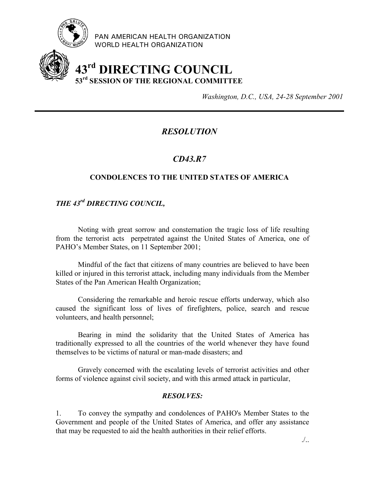

PAN AMERICAN HEALTH ORGANIZATION WORLD HEALTH ORGANIZATION

# **43rd DIRECTING COUNCIL 53rd SESSION OF THE REGIONAL COMMITTEE**

*Washington, D.C., USA, 24-28 September 2001*

## *RESOLUTION*

## *CD43.R7*

#### **CONDOLENCES TO THE UNITED STATES OF AMERICA**

## *THE 43rd DIRECTING COUNCIL,*

Noting with great sorrow and consternation the tragic loss of life resulting from the terrorist acts perpetrated against the United States of America, one of PAHO's Member States, on 11 September 2001;

Mindful of the fact that citizens of many countries are believed to have been killed or injured in this terrorist attack, including many individuals from the Member States of the Pan American Health Organization;

Considering the remarkable and heroic rescue efforts underway, which also caused the significant loss of lives of firefighters, police, search and rescue volunteers, and health personnel;

Bearing in mind the solidarity that the United States of America has traditionally expressed to all the countries of the world whenever they have found themselves to be victims of natural or man-made disasters; and

Gravely concerned with the escalating levels of terrorist activities and other forms of violence against civil society, and with this armed attack in particular,

#### *RESOLVES:*

1. To convey the sympathy and condolences of PAHO's Member States to the Government and people of the United States of America, and offer any assistance that may be requested to aid the health authorities in their relief efforts.

./..